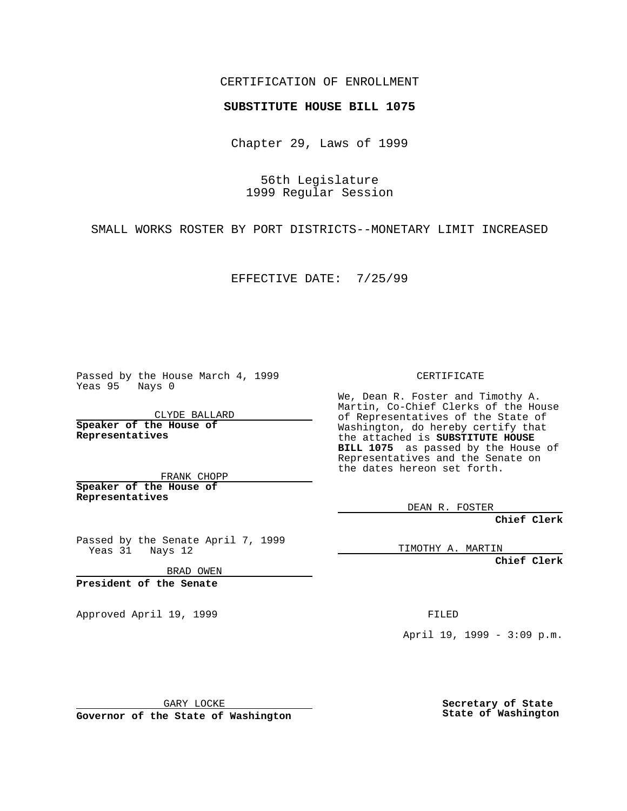### CERTIFICATION OF ENROLLMENT

# **SUBSTITUTE HOUSE BILL 1075**

Chapter 29, Laws of 1999

56th Legislature 1999 Regular Session

SMALL WORKS ROSTER BY PORT DISTRICTS--MONETARY LIMIT INCREASED

EFFECTIVE DATE: 7/25/99

Passed by the House March 4, 1999 Yeas 95 Nays 0

CLYDE BALLARD **Speaker of the House of Representatives**

FRANK CHOPP **Speaker of the House of Representatives**

Passed by the Senate April 7, 1999<br>Yeas 31 Nays 12 Nays 12

BRAD OWEN

**President of the Senate**

Approved April 19, 1999 **FILED** 

#### CERTIFICATE

We, Dean R. Foster and Timothy A. Martin, Co-Chief Clerks of the House of Representatives of the State of Washington, do hereby certify that the attached is **SUBSTITUTE HOUSE BILL 1075** as passed by the House of Representatives and the Senate on the dates hereon set forth.

DEAN R. FOSTER

**Chief Clerk**

TIMOTHY A. MARTIN

**Chief Clerk**

April 19, 1999 - 3:09 p.m.

GARY LOCKE

**Governor of the State of Washington**

**Secretary of State State of Washington**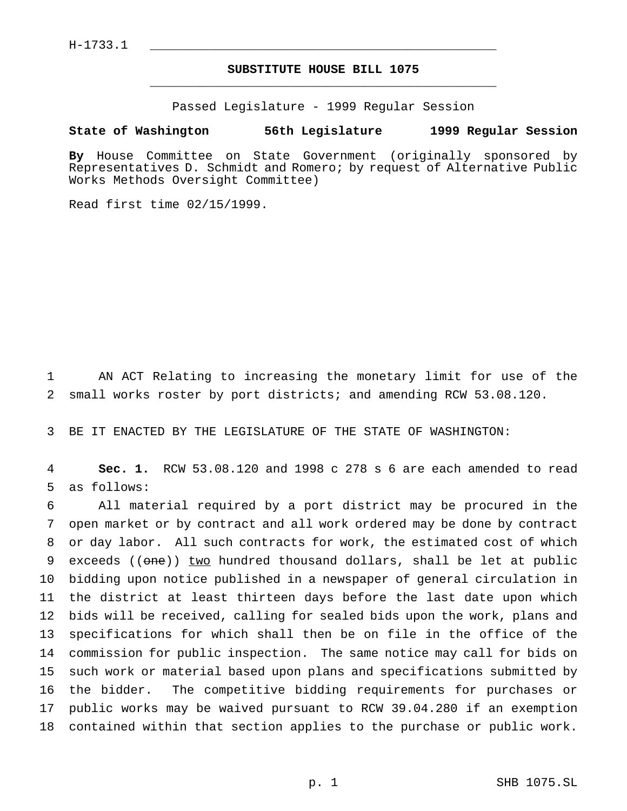# **SUBSTITUTE HOUSE BILL 1075** \_\_\_\_\_\_\_\_\_\_\_\_\_\_\_\_\_\_\_\_\_\_\_\_\_\_\_\_\_\_\_\_\_\_\_\_\_\_\_\_\_\_\_\_\_\_\_

Passed Legislature - 1999 Regular Session

### **State of Washington 56th Legislature 1999 Regular Session**

**By** House Committee on State Government (originally sponsored by Representatives D. Schmidt and Romero; by request of Alternative Public Works Methods Oversight Committee)

Read first time 02/15/1999.

 AN ACT Relating to increasing the monetary limit for use of the small works roster by port districts; and amending RCW 53.08.120.

BE IT ENACTED BY THE LEGISLATURE OF THE STATE OF WASHINGTON:

 **Sec. 1.** RCW 53.08.120 and 1998 c 278 s 6 are each amended to read as follows:

 All material required by a port district may be procured in the open market or by contract and all work ordered may be done by contract or day labor. All such contracts for work, the estimated cost of which 9 exceeds ((one)) two hundred thousand dollars, shall be let at public bidding upon notice published in a newspaper of general circulation in the district at least thirteen days before the last date upon which bids will be received, calling for sealed bids upon the work, plans and specifications for which shall then be on file in the office of the commission for public inspection. The same notice may call for bids on such work or material based upon plans and specifications submitted by the bidder. The competitive bidding requirements for purchases or public works may be waived pursuant to RCW 39.04.280 if an exemption contained within that section applies to the purchase or public work.